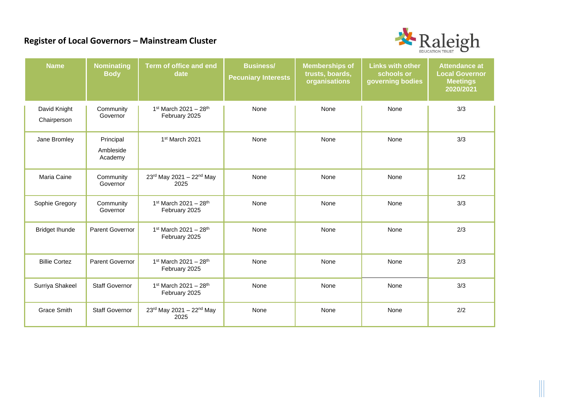## **Register of Local Governors – Mainstream Cluster**



| <b>Name</b>                 | <b>Nominating</b><br><b>Body</b>  | Term of office and end<br>date                       | <b>Business/</b><br><b>Pecuniary Interests</b> | <b>Memberships of</b><br>trusts, boards,<br>organisations | <b>Links with other</b><br>schools or<br>governing bodies | <b>Attendance at</b><br><b>Local Governor</b><br><b>Meetings</b><br>2020/2021 |
|-----------------------------|-----------------------------------|------------------------------------------------------|------------------------------------------------|-----------------------------------------------------------|-----------------------------------------------------------|-------------------------------------------------------------------------------|
| David Knight<br>Chairperson | Community<br>Governor             | 1st March 2021 - 28th<br>February 2025               | None                                           | None                                                      | None                                                      | 3/3                                                                           |
| Jane Bromley                | Principal<br>Ambleside<br>Academy | 1st March 2021                                       | None                                           | None                                                      | None                                                      | 3/3                                                                           |
| Maria Caine                 | Community<br>Governor             | 23rd May 2021 - 22nd May<br>2025                     | None                                           | None                                                      | None                                                      | 1/2                                                                           |
| Sophie Gregory              | Community<br>Governor             | 1st March 2021 - 28th<br>February 2025               | None                                           | None                                                      | None                                                      | 3/3                                                                           |
| <b>Bridget Ihunde</b>       | Parent Governor                   | 1st March 2021 - 28th<br>February 2025               | None                                           | None                                                      | None                                                      | 2/3                                                                           |
| <b>Billie Cortez</b>        | <b>Parent Governor</b>            | $1st$ March 2021 - 28 <sup>th</sup><br>February 2025 | None                                           | None                                                      | None                                                      | 2/3                                                                           |
| Surriya Shakeel             | <b>Staff Governor</b>             | 1st March 2021 - 28th<br>February 2025               | None                                           | None                                                      | None                                                      | 3/3                                                                           |
| <b>Grace Smith</b>          | <b>Staff Governor</b>             | 23rd May 2021 - 22nd May<br>2025                     | None                                           | None                                                      | None                                                      | 2/2                                                                           |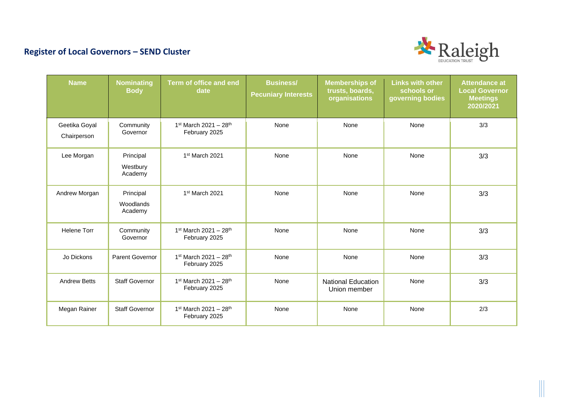## **Register of Local Governors – SEND Cluster**



| <b>Name</b>                  | <b>Nominating</b><br><b>Body</b>  | Term of office and end<br>date                       | <b>Business/</b><br><b>Pecuniary Interests</b> | <b>Memberships of</b><br>trusts, boards,<br>organisations | <b>Links with other</b><br>schools or<br>governing bodies | <b>Attendance at</b><br><b>Local Governor</b><br><b>Meetings</b><br>2020/2021 |
|------------------------------|-----------------------------------|------------------------------------------------------|------------------------------------------------|-----------------------------------------------------------|-----------------------------------------------------------|-------------------------------------------------------------------------------|
| Geetika Goyal<br>Chairperson | Community<br>Governor             | $1st$ March 2021 - 28 <sup>th</sup><br>February 2025 | None                                           | None                                                      | None                                                      | 3/3                                                                           |
| Lee Morgan                   | Principal<br>Westbury<br>Academy  | 1 <sup>st</sup> March 2021                           | None                                           | None                                                      | None                                                      | 3/3                                                                           |
| Andrew Morgan                | Principal<br>Woodlands<br>Academy | 1 <sup>st</sup> March 2021                           | None                                           | None                                                      | None                                                      | 3/3                                                                           |
| <b>Helene Torr</b>           | Community<br>Governor             | 1st March 2021 - 28th<br>February 2025               | None                                           | None                                                      | None                                                      | 3/3                                                                           |
| Jo Dickons                   | <b>Parent Governor</b>            | $1st$ March 2021 - 28 <sup>th</sup><br>February 2025 | None                                           | None                                                      | None                                                      | 3/3                                                                           |
| <b>Andrew Betts</b>          | <b>Staff Governor</b>             | 1st March 2021 - 28th<br>February 2025               | None                                           | <b>National Education</b><br>Union member                 | None                                                      | 3/3                                                                           |
| Megan Rainer                 | <b>Staff Governor</b>             | $1st$ March 2021 - 28 <sup>th</sup><br>February 2025 | None                                           | None                                                      | None                                                      | 2/3                                                                           |